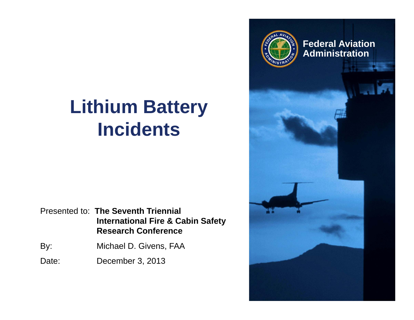### **Lithium Battery Incidents**

Presented to: **The Seventh Triennial International Fire & Cabin Safety Research Conference**

By: Michael D. Givens, FAA

Date: December 3, 2013

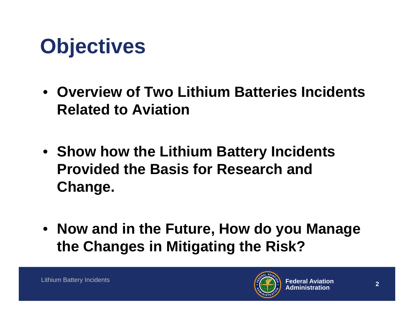## **Objectives**

- **Overview of Two Lithium Batteries Incidents Related to Aviation**
- **Show how the Lithium Battery Incidents Provided the Basis for Research and Change.**
- **Now and in the Future, How do you Manage the Changes in Mitigating the Risk?**

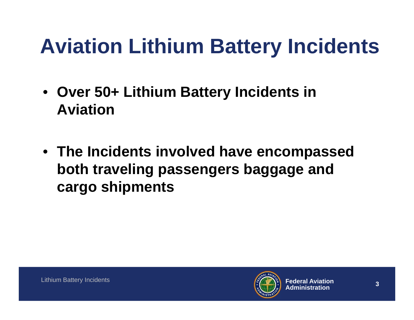# **Aviation Lithium Battery Incidents**

- **Over 50+ Lithium Battery Incidents in Aviation**
- **The Incidents involved have encompassed both traveling passengers baggage and cargo shipments**

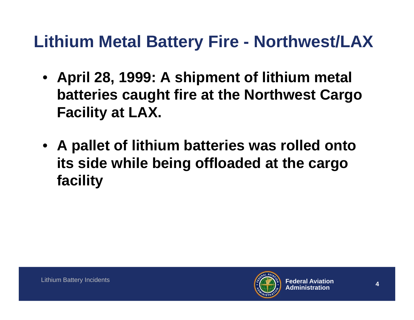#### **Lithium Metal Battery Fire - Northwest/LAX**

- **April 28, 1999: A shipment of lithium metal batteries caught fire at the Northwest Cargo Facility at LAX.**
- **A pallet of lithium batteries was rolled onto its side while being offloaded at the cargo facility**

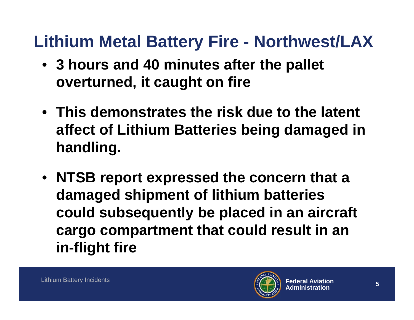#### **Lithium Metal Battery Fire - Northwest/LAX**

- **3 hours and 40 minutes after the pallet overturned, it caught on fire**
- **This demonstrates the risk due to the latent affect of Lithium Batteries being damaged in handling.**
- **NTSB report expressed the concern that a damaged shipment of lithium batteries could subsequently be placed in an aircraft cargo compartment that could result in an in-flight fire**

**Federal Aviation Administration**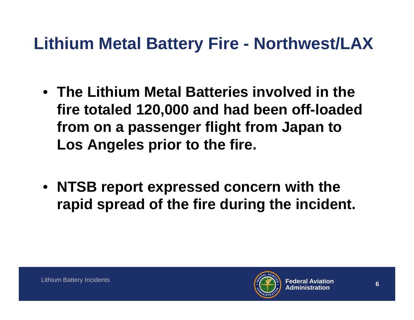#### **Lithium Metal Battery Fire - Northwest/LAX**

- **The Lithium Metal Batteries involved in the fire totaled 120,000 and had been off-loaded from on a passenger flight from Japan to Los Angeles prior to the fire.**
- **NTSB report expressed concern with the rapid spread of the fire during the incident.**

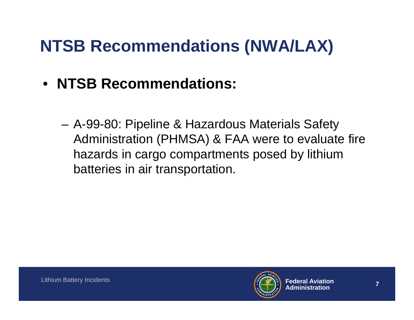#### **NTSB Recommendations (NWA/LAX)**

- **NTSB Recommendations:**
	- A-99-80: Pipeline & Hazardous Materials Safety Administration (PHMSA) & FAA were to evaluate fire hazards in cargo compartments posed by lithium batteries in air transportation.

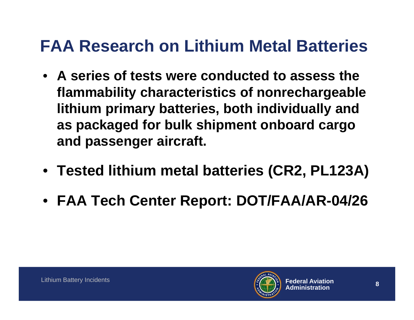#### **FAA Research on Lithium Metal Batteries**

- **A series of tests were conducted to assess the flammability characteristics of nonrechargeable lithium primary batteries, both individually and as packaged for bulk shipment onboard cargo and passenger aircraft.**
- **Tested lithium metal batteries (CR2, PL123A)**
- **FAA Tech Center Report: DOT/FAA/AR-04/26**

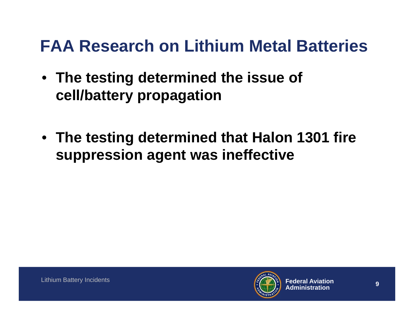#### **FAA Research on Lithium Metal Batteries**

- **The testing determined the issue of cell/battery propagation**
- **The testing determined that Halon 1301 fire suppression agent was ineffective**

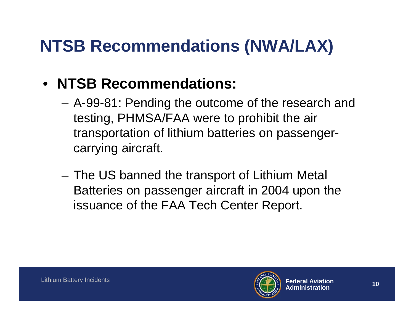#### **NTSB Recommendations (NWA/LAX)**

#### • **NTSB Recommendations:**

- A-99-81: Pending the outcome of the research and testing, PHMSA/FAA were to prohibit the air transportation of lithium batteries on passengercarrying aircraft.
- The US banned the transport of Lithium Metal Batteries on passenger aircraft in 2004 upon the issuance of the FAA Tech Center Report.

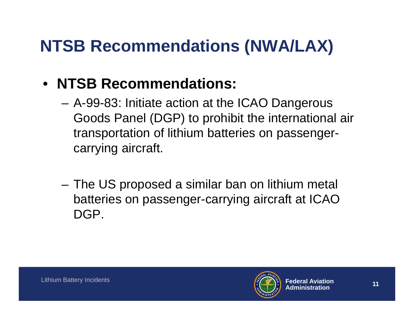#### **NTSB Recommendations (NWA/LAX)**

#### • **NTSB Recommendations:**

- A-99-83: Initiate action at the ICAO Dangerous Goods Panel (DGP) to prohibit the international air transportation of lithium batteries on passengercarrying aircraft.
- The US proposed a similar ban on lithium metal batteries on passenger-carrying aircraft at ICAO DGP.

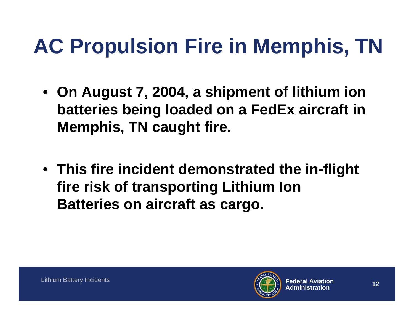# **AC Propulsion Fire in Memphis, TN**

- **On August 7, 2004, a shipment of lithium ion batteries being loaded on a FedEx aircraft in Memphis, TN caught fire.**
- **This fire incident demonstrated the in-flight fire risk of transporting Lithium Ion Batteries on aircraft as cargo.**

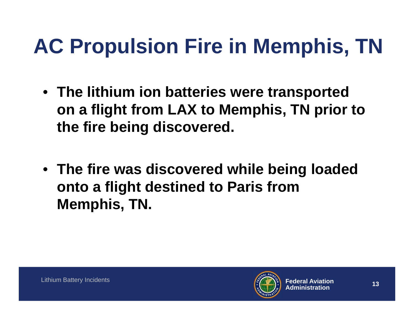# **AC Propulsion Fire in Memphis, TN**

- **The lithium ion batteries were transported on a flight from LAX to Memphis, TN prior to the fire being discovered.**
- **The fire was discovered while being loaded onto a flight destined to Paris from Memphis, TN.**

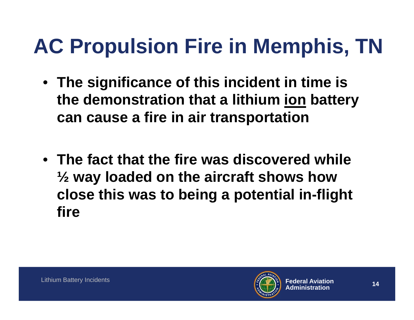# **AC Propulsion Fire in Memphis, TN**

- **The significance of this incident in time is the demonstration that a lithium ion battery can cause a fire in air transportation**
- **The fact that the fire was discovered while ½ way loaded on the aircraft shows how close this was to being a potential in-flight fire**

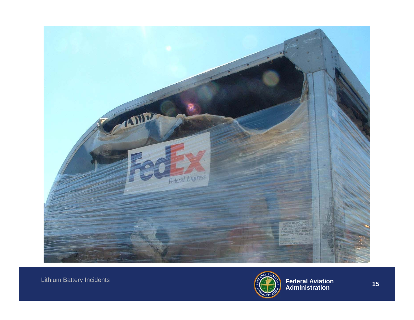

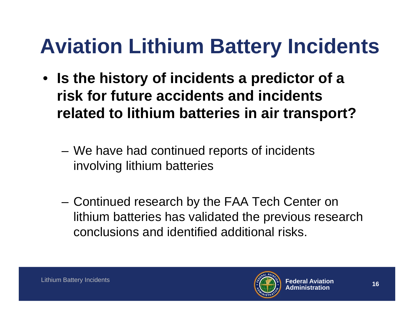# **Aviation Lithium Battery Incidents**

- **Is the history of incidents a predictor of a risk for future accidents and incidents related to lithium batteries in air transport?**
	- –We have had continued reports of incidents involving lithium batteries
	- Continued research by the FAA Tech Center on lithium batteries has validated the previous research conclusions and identified additional risks.

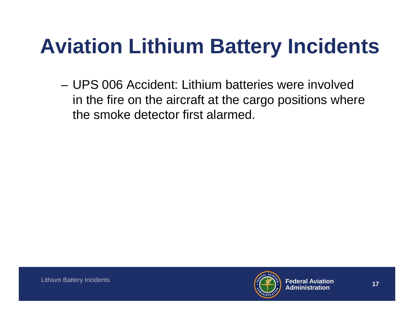# **Aviation Lithium Battery Incidents**

– UPS 006 Accident: Lithium batteries were involved in the fire on the aircraft at the cargo positions where the smoke detector first alarmed.

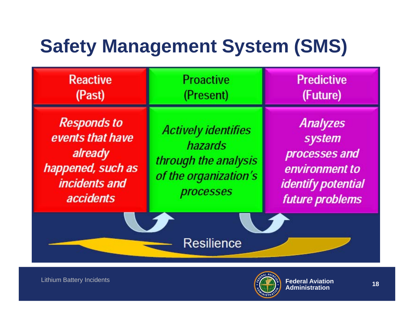### **Safety Management System (SMS)**

| <b>Reactive</b><br>(Past)                                                                                   | <b>Proactive</b><br>(Present)                                                                       | <b>Predictive</b><br>(Future)                                                                                |
|-------------------------------------------------------------------------------------------------------------|-----------------------------------------------------------------------------------------------------|--------------------------------------------------------------------------------------------------------------|
| <b>Responds to</b><br>events that have<br>already<br>happened, such as<br>incidents and<br><i>accidents</i> | <b>Actively identifies</b><br>hazards<br>through the analysis<br>of the organization's<br>processes | <b>Analyzes</b><br>system<br>processes and<br>environment to<br><i>identify potential</i><br>future problems |
| <b>Resilience</b>                                                                                           |                                                                                                     |                                                                                                              |

Lithium Battery Incidents **18**<br> **18 Contract Contract of Contract of Contract of Contract of Contract of Contract of Contract of Contract of Contract of Contract of Contract of Contract of Contract of Contract of Contrac** 

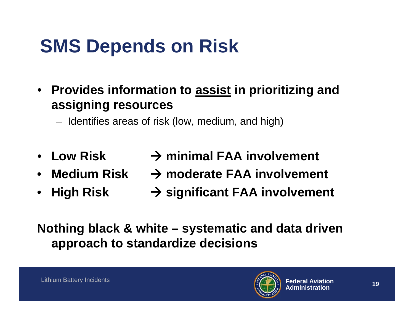### **SMS Depends on Risk**

- **Provides information to assist in prioritizing and assigning resources**
	- Identifies areas of risk (low, medium, and high)
- **Low Risk minimal FAA involvement**
- **Medium Risk moderate FAA involvement**
- $\bullet$ **High Risk significant FAA involvement**

**Nothing black & white – systematic and data driven approach to standardize decisions**

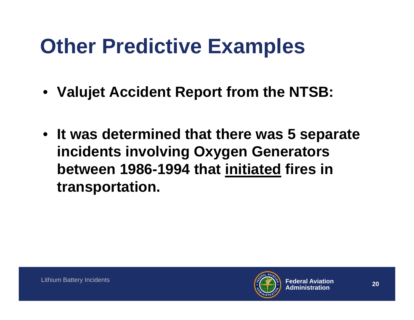# **Other Predictive Examples**

- **Valujet Accident Report from the NTSB:**
- **It was determined that there was 5 separate incidents involving Oxygen Generators between 1986-1994 that initiated fires in transportation.**

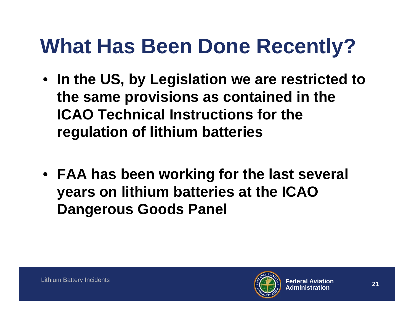## **What Has Been Done Recently?**

- **In the US, by Legislation we are restricted to the same provisions as contained in the ICAO Technical Instructions for the regulation of lithium batteries**
- **FAA has been working for the last several years on lithium batteries at the ICAO Dangerous Goods Panel**

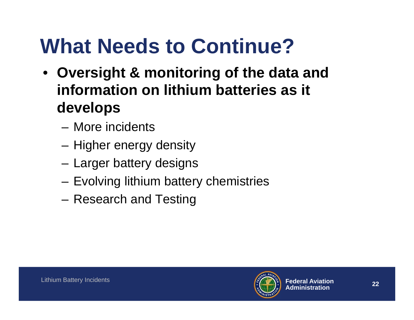# **What Needs to Continue?**

- **Oversight & monitoring of the data and information on lithium batteries as it develops** 
	- More incidents
	- Higher energy density
	- Larger battery designs
	- Evolving lithium battery chemistries
	- –Research and Testing

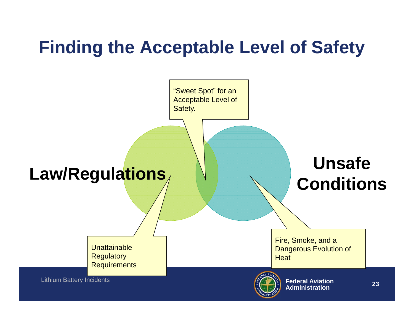### **Finding the Acceptable Level of Safety**

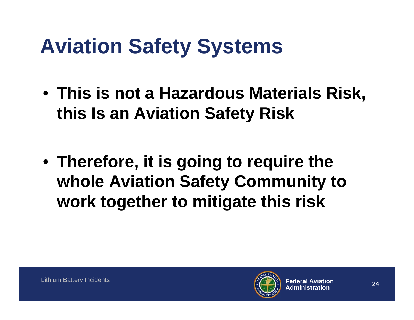# **Aviation Safety Systems**

- **This is not a Hazardous Materials Risk, this Is an Aviation Safety Risk**
- **Therefore, it is going to require the whole Aviation Safety Community to work together to mitigate this risk**

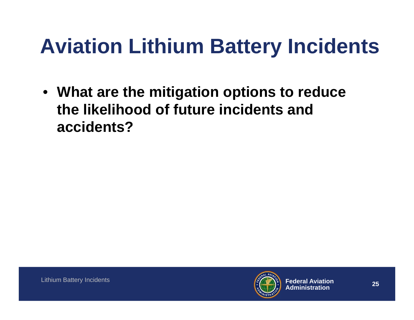# **Aviation Lithium Battery Incidents**

• **What are the mitigation options to reduce the likelihood of future incidents and accidents?**

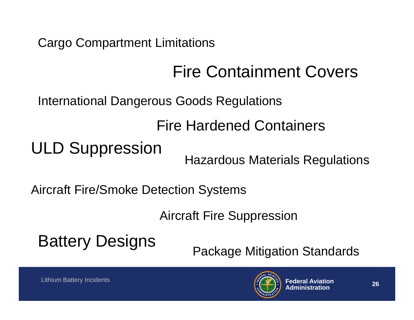Cargo Compartment Limitations

### Fire Containment Covers

International Dangerous Goods Regulations

Fire Hardened Containers

### ULD Suppression

Hazardous Materials Regulations

Aircraft Fire/Smoke Detection Systems

Aircraft Fire Suppression

Battery Designs

Package Mitigation Standards

Lithium Battery Incidents **<sup>26</sup>**